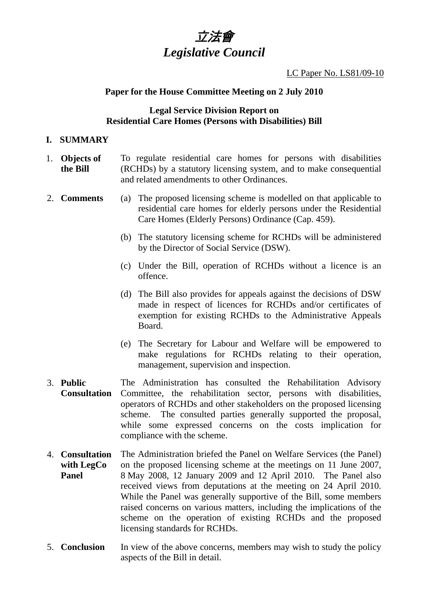

LC Paper No. LS81/09-10

## **Paper for the House Committee Meeting on 2 July 2010**

## **Legal Service Division Report on Residential Care Homes (Persons with Disabilities) Bill**

#### **I. SUMMARY**

- 1. **Objects of the Bill**  To regulate residential care homes for persons with disabilities (RCHDs) by a statutory licensing system, and to make consequential and related amendments to other Ordinances.
- 2. **Comments** (a) The proposed licensing scheme is modelled on that applicable to residential care homes for elderly persons under the Residential Care Homes (Elderly Persons) Ordinance (Cap. 459).
	- (b) The statutory licensing scheme for RCHDs will be administered by the Director of Social Service (DSW).
	- (c) Under the Bill, operation of RCHDs without a licence is an offence.
	- (d) The Bill also provides for appeals against the decisions of DSW made in respect of licences for RCHDs and/or certificates of exemption for existing RCHDs to the Administrative Appeals Board.
	- (e) The Secretary for Labour and Welfare will be empowered to make regulations for RCHDs relating to their operation, management, supervision and inspection.
- 3. **Public Consultation**  The Administration has consulted the Rehabilitation Advisory Committee, the rehabilitation sector, persons with disabilities, operators of RCHDs and other stakeholders on the proposed licensing scheme. The consulted parties generally supported the proposal, while some expressed concerns on the costs implication for compliance with the scheme.
- 4. **Consultation with LegCo Panel**  The Administration briefed the Panel on Welfare Services (the Panel) on the proposed licensing scheme at the meetings on 11 June 2007, 8 May 2008, 12 January 2009 and 12 April 2010. The Panel also received views from deputations at the meeting on 24 April 2010. While the Panel was generally supportive of the Bill, some members raised concerns on various matters, including the implications of the scheme on the operation of existing RCHDs and the proposed licensing standards for RCHDs.
- 5. **Conclusion** In view of the above concerns, members may wish to study the policy aspects of the Bill in detail.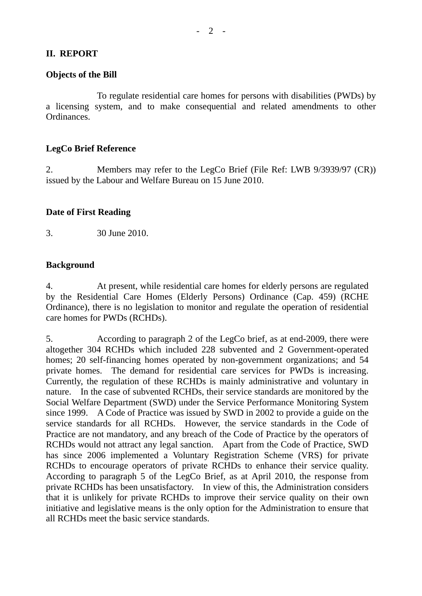## **II. REPORT**

#### **Objects of the Bill**

 To regulate residential care homes for persons with disabilities (PWDs) by a licensing system, and to make consequential and related amendments to other Ordinances.

#### **LegCo Brief Reference**

2. Members may refer to the LegCo Brief (File Ref: LWB 9/3939/97 (CR)) issued by the Labour and Welfare Bureau on 15 June 2010.

#### **Date of First Reading**

3. 30 June 2010.

## **Background**

4. At present, while residential care homes for elderly persons are regulated by the Residential Care Homes (Elderly Persons) Ordinance (Cap. 459) (RCHE Ordinance), there is no legislation to monitor and regulate the operation of residential care homes for PWDs (RCHDs).

5. According to paragraph 2 of the LegCo brief, as at end-2009, there were altogether 304 RCHDs which included 228 subvented and 2 Government-operated homes; 20 self-financing homes operated by non-government organizations; and 54 private homes. The demand for residential care services for PWDs is increasing. Currently, the regulation of these RCHDs is mainly administrative and voluntary in nature. In the case of subvented RCHDs, their service standards are monitored by the Social Welfare Department (SWD) under the Service Performance Monitoring System since 1999. A Code of Practice was issued by SWD in 2002 to provide a guide on the service standards for all RCHDs. However, the service standards in the Code of Practice are not mandatory, and any breach of the Code of Practice by the operators of RCHDs would not attract any legal sanction. Apart from the Code of Practice, SWD has since 2006 implemented a Voluntary Registration Scheme (VRS) for private RCHDs to encourage operators of private RCHDs to enhance their service quality. According to paragraph 5 of the LegCo Brief, as at April 2010, the response from private RCHDs has been unsatisfactory. In view of this, the Administration considers that it is unlikely for private RCHDs to improve their service quality on their own initiative and legislative means is the only option for the Administration to ensure that all RCHDs meet the basic service standards.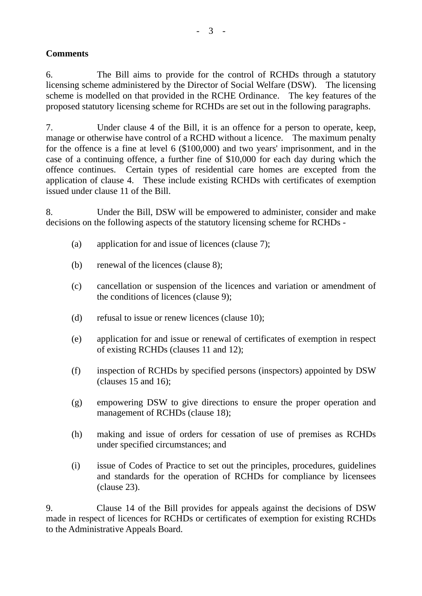# **Comments**

6. The Bill aims to provide for the control of RCHDs through a statutory licensing scheme administered by the Director of Social Welfare (DSW). The licensing scheme is modelled on that provided in the RCHE Ordinance. The key features of the proposed statutory licensing scheme for RCHDs are set out in the following paragraphs.

7. Under clause 4 of the Bill, it is an offence for a person to operate, keep, manage or otherwise have control of a RCHD without a licence. The maximum penalty for the offence is a fine at level 6 (\$100,000) and two years' imprisonment, and in the case of a continuing offence, a further fine of \$10,000 for each day during which the offence continues. Certain types of residential care homes are excepted from the application of clause 4. These include existing RCHDs with certificates of exemption issued under clause 11 of the Bill.

8. Under the Bill, DSW will be empowered to administer, consider and make decisions on the following aspects of the statutory licensing scheme for RCHDs -

- (a) application for and issue of licences (clause 7);
- (b) renewal of the licences (clause 8);
- (c) cancellation or suspension of the licences and variation or amendment of the conditions of licences (clause 9);
- (d) refusal to issue or renew licences (clause 10);
- (e) application for and issue or renewal of certificates of exemption in respect of existing RCHDs (clauses 11 and 12);
- (f) inspection of RCHDs by specified persons (inspectors) appointed by DSW (clauses 15 and 16);
- (g) empowering DSW to give directions to ensure the proper operation and management of RCHDs (clause 18);
- (h) making and issue of orders for cessation of use of premises as RCHDs under specified circumstances; and
- (i) issue of Codes of Practice to set out the principles, procedures, guidelines and standards for the operation of RCHDs for compliance by licensees (clause 23).

9. Clause 14 of the Bill provides for appeals against the decisions of DSW made in respect of licences for RCHDs or certificates of exemption for existing RCHDs to the Administrative Appeals Board.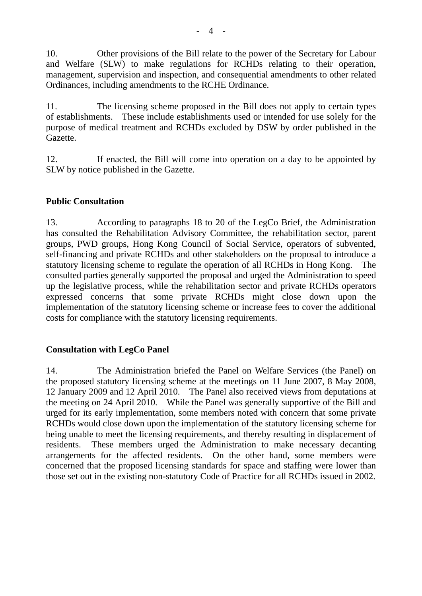10. Other provisions of the Bill relate to the power of the Secretary for Labour and Welfare (SLW) to make regulations for RCHDs relating to their operation, management, supervision and inspection, and consequential amendments to other related Ordinances, including amendments to the RCHE Ordinance.

11. The licensing scheme proposed in the Bill does not apply to certain types of establishments. These include establishments used or intended for use solely for the purpose of medical treatment and RCHDs excluded by DSW by order published in the Gazette.

12. If enacted, the Bill will come into operation on a day to be appointed by SLW by notice published in the Gazette.

# **Public Consultation**

13. According to paragraphs 18 to 20 of the LegCo Brief, the Administration has consulted the Rehabilitation Advisory Committee, the rehabilitation sector, parent groups, PWD groups, Hong Kong Council of Social Service, operators of subvented, self-financing and private RCHDs and other stakeholders on the proposal to introduce a statutory licensing scheme to regulate the operation of all RCHDs in Hong Kong. The consulted parties generally supported the proposal and urged the Administration to speed up the legislative process, while the rehabilitation sector and private RCHDs operators expressed concerns that some private RCHDs might close down upon the implementation of the statutory licensing scheme or increase fees to cover the additional costs for compliance with the statutory licensing requirements.

# **Consultation with LegCo Panel**

14. The Administration briefed the Panel on Welfare Services (the Panel) on the proposed statutory licensing scheme at the meetings on 11 June 2007, 8 May 2008, 12 January 2009 and 12 April 2010. The Panel also received views from deputations at the meeting on 24 April 2010. While the Panel was generally supportive of the Bill and urged for its early implementation, some members noted with concern that some private RCHDs would close down upon the implementation of the statutory licensing scheme for being unable to meet the licensing requirements, and thereby resulting in displacement of residents. These members urged the Administration to make necessary decanting arrangements for the affected residents. On the other hand, some members were concerned that the proposed licensing standards for space and staffing were lower than those set out in the existing non-statutory Code of Practice for all RCHDs issued in 2002.